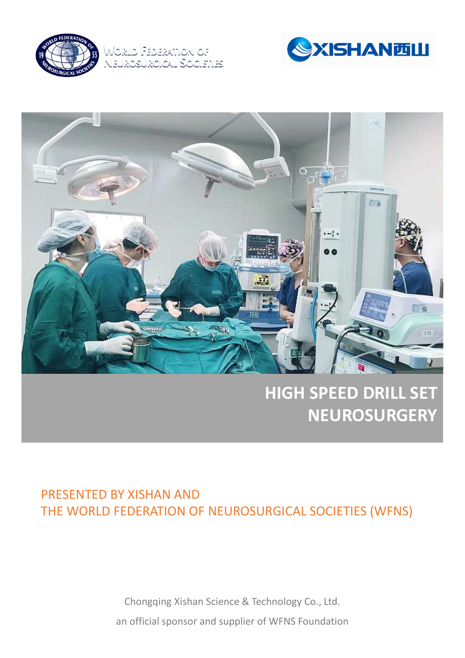

World Federation of <u>ROICAIL S'OCIETIES I</u>





## HIGH SPEED DRILL SET **NEUROSURGERY**

# **CHONGERTAN SCHOOLS AND SET ASSEMAN AND SCIENCE ASSEMANT OF A NEUROSURGICAL SOCIETIES (WFNS)**<br>Chongqing Xishan Science & Technology Co., Ltd.<br>In official sponsor and supplier of WFNS Foundation FEDERATION OF NEUROSURGICAL SOCIETIES (WFNS)<br>FEDERATION OF NEUROSURGICAL SOCIETIES (WFNS)<br>Chongqing Xishan Science & Technology Co., Ltd.<br>an official sponsor and supplier of WFNS Foundation PRESENTED BY XISHAN AND THE WORLD FEDERATION OF NEUROSURGICAL SOCIETIES (WFNS)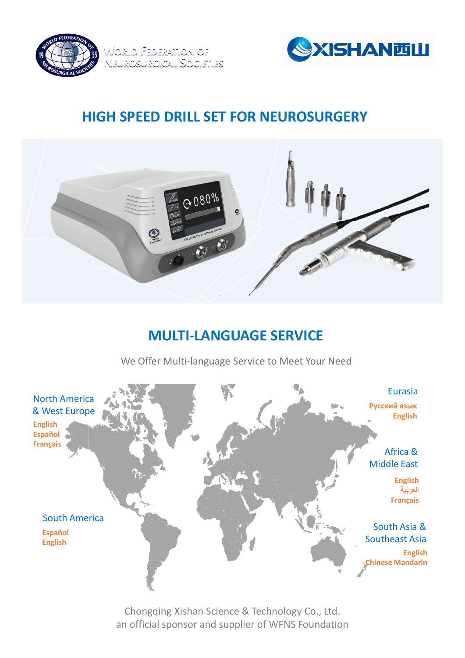



### HIGH SPEED DRILL SET FOR NEUROSURGERY



#### MULTI-LANGUAGE SERVICE

We Offer Multi-language Service to Meet Your Need

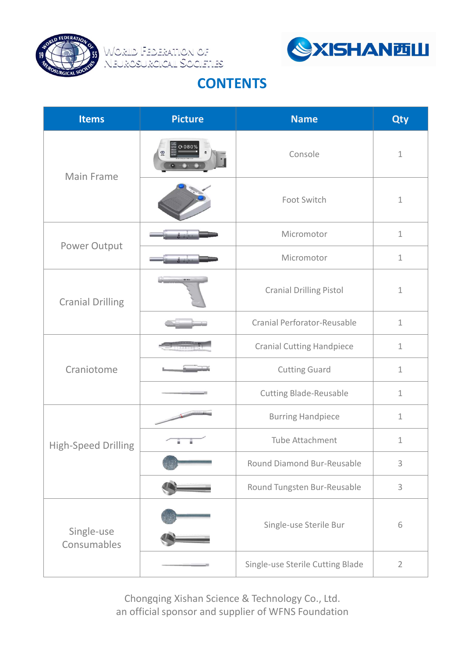





#### **CONTENTS**

| <b>SYISHANTILL</b><br>Worild Federation of<br>Neurosurgical Societies<br><b>CONTENTS</b> |                |                                  |                |
|------------------------------------------------------------------------------------------|----------------|----------------------------------|----------------|
| <b>Items</b>                                                                             | <b>Picture</b> | <b>Name</b>                      | <b>Qty</b>     |
| Main Frame                                                                               |                | Console                          | $\mathbf 1$    |
|                                                                                          |                | Foot Switch                      | $\mathbf 1$    |
| Power Output                                                                             |                | Micromotor                       | $1\,$          |
|                                                                                          |                | Micromotor                       | $1\,$          |
| <b>Cranial Drilling</b>                                                                  |                | <b>Cranial Drilling Pistol</b>   | $\mathbf{1}$   |
|                                                                                          |                | Cranial Perforator-Reusable      | $\mathbf{1}$   |
| Craniotome                                                                               |                | <b>Cranial Cutting Handpiece</b> | $\mathbf{1}$   |
|                                                                                          |                | <b>Cutting Guard</b>             | $\mathbf{1}$   |
|                                                                                          |                | <b>Cutting Blade-Reusable</b>    | $\mathbf{1}$   |
| High-Speed Drilling                                                                      |                | <b>Burring Handpiece</b>         | $\mathbf{1}$   |
|                                                                                          |                | Tube Attachment                  | $\mathbf{1}$   |
|                                                                                          |                | Round Diamond Bur-Reusable       | 3              |
|                                                                                          |                | Round Tungsten Bur-Reusable      | $\mathsf{3}$   |
| Single-use<br>Consumables                                                                |                | Single-use Sterile Bur           | 6              |
|                                                                                          |                | Single-use Sterile Cutting Blade | $\overline{2}$ |